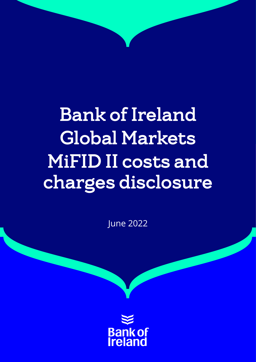# Bank of Ireland Global Markets MiFID II costs and charges disclosure

June 2022

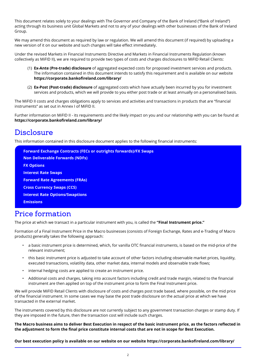This document relates solely to your dealings with The Governor and Company of the Bank of Ireland ("Bank of Ireland") acting through its business unit Global Markets and not to any of your dealings with other businesses of the Bank of Ireland Group.

We may amend this document as required by law or regulation. We will amend this document (if required) by uploading a new version of it on our website and such changes will take effect immediately.

Under the revised Markets in Financial Instruments Directive and Markets in Financial Instruments Regulation (known collectively as MiFID II), we are required to provide two types of costs and charges disclosures to MiFID Retail Clients:

- (1) **Ex-Ante (Pre-trade) disclosure** of aggregated expected costs for proposed investment services and products. The information contained in this document intends to satisfy this requirement and is available on our website **https://corporate.bankofireland.com/library/**
- (2) **Ex-Post (Post-trade) disclosure** of aggregated costs which have actually been incurred by you for investment services and products, which we will provide to you either post trade or at least annually on a personalised basis.

The MiFID II costs and charges obligations apply to services and activities and transactions in products that are "financial instruments" as set out in Annex I of MiFID II.

Further information on MiFID II - its requirements and the likely impact on you and our relationship with you can be found at **https://corporate.bankofireland.com/library/**

## **Disclosure**

This information contained in this disclosure document applies to the following financial instruments:

```
Forward Exchange Contracts (FECs or outrights forwards)/FX Swaps
Non Deliverable Forwards (NDFs)
FX Options
Interest Rate Swaps
Forward Rate Agreements (FRAs)
Cross Currency Swaps (CCS)
Interest Rate Options/Swaptions
Emissions
```
## Price formation

The price at which we transact in a particular instrument with you, is called the **"Final Instrument price."**

Formation of a Final Instrument Price in the Macro businesses (consists of Foreign Exchange, Rates and e-Trading of Macro products) generally takes the following approach:

- a basic instrument price is determined, which, for vanilla OTC financial instruments, is based on the mid-price of the relevant instrument;
- this basic instrument price is adjusted to take account of other factors including observable market prices, liquidity, executed transactions, volatility data, other market data, internal models and observable trade flows;
- internal hedging costs are applied to create an instrument price.
- Additional costs and charges, taking into account factors including credit and trade margin, related to the financial instrument are then applied on top of the instrument price to form the Final Instrument price.

We will provide MiFID Retail Clients with disclosure of costs and charges post trade based, where possible, on the mid price of the financial instrument. In some cases we may base the post trade disclosure on the actual price at which we have transacted in the external market.

The instruments covered by this disclosure are not currently subject to any government transaction charges or stamp duty. If they are imposed in the future, then the transaction cost will include such charges.

**The Macro business aims to deliver Best Execution in respect of the basic instrument price, as the factors reflected in the adjustment to form the final price constitute internal costs that are not in scope for Best Execution.**

**Our best execution policy is available on our website on our website https://corporate.bankofireland.com/library/**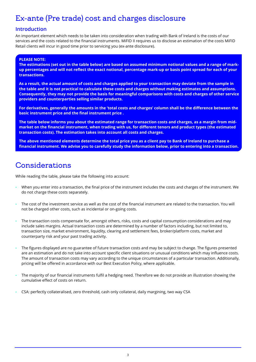## Ex-ante (Pre trade) cost and charges disclosure

### **Introduction**

An important element which needs to be taken into consideration when trading with Bank of Ireland is the costs of our services and the costs related to the financial instruments. MiFID II requires us to disclose an estimation of the costs MiFID Retail clients will incur in good time prior to servicing you (ex-ante disclosure).

#### **PLEASE NOTE:**

**The estimations (set out in the table below) are based on assumed minimum notional values and a range of markup percentages and will not reflect the exact notional, percentage mark-up or basis point spread for each of your transactions.**

**As a result, the actual amount of costs and charges applied to your transaction may deviate from the sample in the table and it is not practical to calculate these costs and charges without making estimates and assumptions. Consequently, they may not provide the basis for meaningful comparisons with costs and charges of other service providers and counterparties selling similar products.**

**For derivatives, generally the amounts in the 'total costs and charges' column shall be the difference between the basic instrument price and the final instrument price .**

**The table below informs you about the estimated range for transaction costs and charges, as a margin from midmarket on the financial instrument, when trading with us, for different tenors and product types (the estimated transaction costs). The estimation takes into account all costs and charges.** 

**The above mentioned elements determine the total price you as a client pay to Bank of Ireland to purchase a financial instrument. We advise you to carefully study the information below, prior to entering into a transaction.** 

## Considerations

While reading the table, please take the following into account:

- When you enter into a transaction, the final price of the instrument includes the costs and charges of the instrument. We do not charge these costs separately.
- The cost of the investment service as well as the cost of the financial instrument are related to the transaction. You will not be charged other costs, such as incidental or on-going costs.
- The transaction costs compensate for, amongst others, risks, costs and capital consumption considerations and may include sales margins. Actual transaction costs are determined by a number of factors including, but not limited to, transaction size, market environment, liquidity, clearing and settlement fees, broker/platform costs, market and counterparty risk and your past trading activity.
- The figures displayed are no guarantee of future transaction costs and may be subject to change. The figures presented are an estimation and do not take into account specific client situations or unusual conditions which may influence costs. The amount of transaction costs may vary according to the unique circumstances of a particular transaction. Additionally, pricing will be offered in accordance with our Best Execution Policy, where applicable.
- The majority of our financial instruments fulfil a hedging need. Therefore we do not provide an illustration showing the cumulative effect of costs on return.
- CSA: perfectly collateralised, zero threshold, cash only collateral, daily margining, two way CSA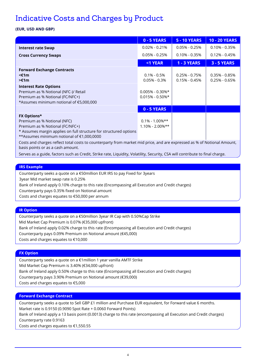## Indicative Costs and Charges by Product

#### **(EUR, USD AND GBP)**

|                                                                                                                                                                                                                                                                                                                                   | 0 - 5 YEARS                                 | <b>5 - 10 YEARS</b>                  | <b>10 - 20 YEARS</b>                 |
|-----------------------------------------------------------------------------------------------------------------------------------------------------------------------------------------------------------------------------------------------------------------------------------------------------------------------------------|---------------------------------------------|--------------------------------------|--------------------------------------|
| <b>Interest rate Swap</b>                                                                                                                                                                                                                                                                                                         | $0.02\% - 0.21\%$                           | $0.05\% - 0.25\%$                    | $0.10\% - 0.35\%$                    |
| <b>Cross Currency Swaps</b>                                                                                                                                                                                                                                                                                                       | $0.05\% - 0.25\%$                           | $0.10\% - 0.35\%$                    | $0.12\% - 0.45\%$                    |
|                                                                                                                                                                                                                                                                                                                                   | <1 YEAR                                     | <b>1 - 3 YEARS</b>                   | <b>3 - 5 YEARS</b>                   |
| <b>Forward Exchange Contracts</b><br>$<$ f1m<br>$\geq$ f1m                                                                                                                                                                                                                                                                        | $0.1\% - 0.5\%$<br>$0.05\% - 0.3\%$         | $0.25\% - 0.75\%$<br>$0.15% - 0.45%$ | $0.35\% - 0.85\%$<br>$0.25% - 0.65%$ |
| <b>Interest Rate Options</b><br>Premium as % Notional (NFC-)/ Retail<br>Premium as % Notional (FC/NFC+)<br>*Assumes minimum notional of €5,000,000                                                                                                                                                                                | $0.005\% - 0.30\%*$<br>$0.015\% - 0.50\%$ * |                                      |                                      |
|                                                                                                                                                                                                                                                                                                                                   | 0 - 5 YEARS                                 |                                      |                                      |
| <b>FX Options*</b><br>Premium as % Notional (NFC)<br>Premium as % Notional (FC/NFC+)<br>* Assumes margin applies on full structure for structured options<br>**Assumes minimum notional of €1,000,0000<br>Costs and charges reflect total costs to counterparty from market mid price, and are expressed as % of Notional Amount. | $0.1\% - 1.00\%$ **<br>$1.10\% - 2.00\%$ ** |                                      |                                      |

Costs and charges reflect total costs to counterparty from market mid price, and are expressed as % of Notional Amount, basis points or as a cash amount.

Serves as a guide, factors such as Credit, Strike rate, Liquidity, Volatility, Security, CSA will contribute to final charge.

#### **IRS Example**

Counterparty seeks a quote on a €50million EUR IRS to pay Fixed for 3years

3year Mid market swap rate is 0.25%

Bank of Ireland apply 0.10% charge to this rate (Encompassing all Execution and Credit charges)

Counterparty pays 0.35% fixed on Notional amount

Costs and charges equates to €50,000 per annum

#### **IR Option**

Counterparty seeks a quote on a €50million 3year IR Cap with 0.50%Cap Strike Mid Market Cap Premium is 0.07% (€35,000 upfront) Bank of Ireland apply 0.02% charge to this rate (Encompassing all Execution and Credit charges) Counterparty pays 0.09% Premium on Notional amount (€45,000) Costs and charges equates to €10,000

#### **FX Option**

Counterparty seeks a quote on a €1million 1 year vanilla AMTF Strike Mid Market Cap Premium is 3.40% (€34,000 upfront) Bank of Ireland apply 0.50% charge to this rate (Encompassing all Execution and Credit charges) Counterparty pays 3.90% Premium on Notional amount (€39,000)

Costs and charges equates to €5,000

#### **Forward Exchange Contract**

Counterparty seeks a quote to Sell GBP £1 million and Purchase EUR equivalent, for Forward value 6 months. Market rate is 0.9150 (0.9090 Spot Rate + 0.0060 Forward Points) Bank of Ireland apply a 13 basis point (0.0013) charge to this rate (encompassing all Execution and Credit charges)

Counterparty rate 0.9163

Costs and charges equates to €1,550.55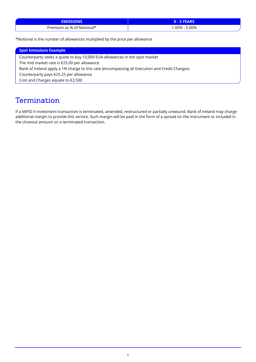| EMISS.<br>ws              |              |
|---------------------------|--------------|
| Premium as % of Notional* | .00%<br>.00% |

\*Notional is the number of allowances multiplied by the price per allowance

| <b>Spot Emissions Example</b>                                                                  |
|------------------------------------------------------------------------------------------------|
| Counterparty seeks a quote to buy 10,000 EUA allowances in the spot market                     |
| The mid market rate is $£25.00$ per allowance                                                  |
| Bank of Ireland apply a 1% charge to this rate (encompassing all Execution and Credit Charges) |
| Counterparty pays €25.25 per allowance                                                         |
| Cost and Charges equate to €2,500                                                              |

## **Termination**

If a MiFID II investment transaction is terminated, amended, restructured or partially unwound, Bank of Ireland may charge additional margin to provide this service. Such margin will be paid in the form of a spread on the instrument or included in the closeout amount on a terminated transaction.